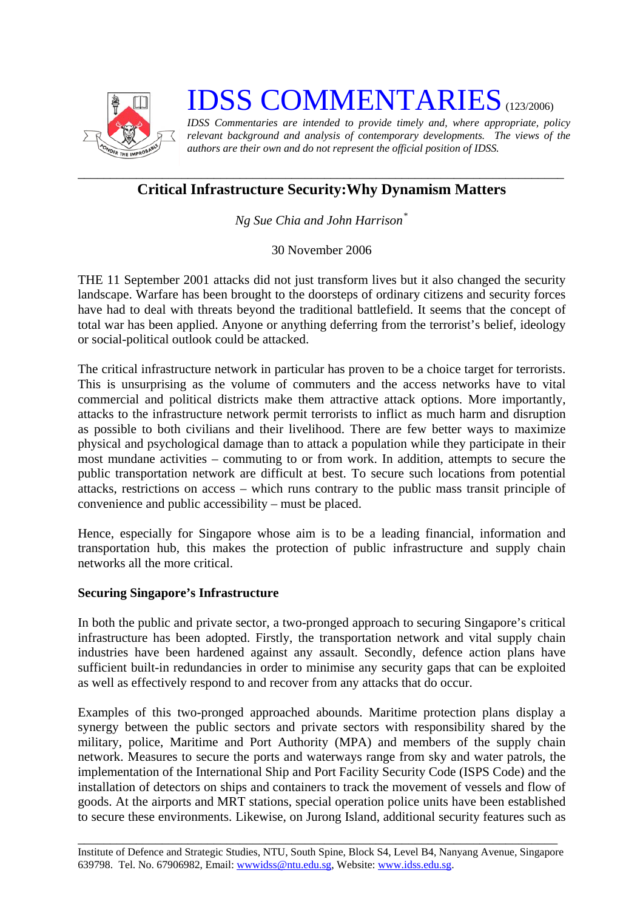

# **IDSS COMMENTARIES** (123/2006)

*IDSS Commentaries are intended to provide timely and, where appropriate, policy relevant background and analysis of contemporary developments. The views of the authors are their own and do not represent the official position of IDSS.* 

## *\_\_\_\_\_\_\_\_\_\_\_\_\_\_\_\_\_\_\_\_\_\_\_\_\_\_\_\_\_\_\_\_\_\_\_\_\_\_\_\_\_\_\_\_\_\_\_\_\_\_\_\_\_\_\_\_\_\_\_\_\_\_\_\_\_\_\_\_\_\_\_\_\_\_\_*  **Critical Infrastructure Security:Why Dynamism Matters**

*Ng Sue Chia and John Harrison[\\*](#page-2-0)*

30 November 2006

THE 11 September 2001 attacks did not just transform lives but it also changed the security landscape. Warfare has been brought to the doorsteps of ordinary citizens and security forces have had to deal with threats beyond the traditional battlefield. It seems that the concept of total war has been applied. Anyone or anything deferring from the terrorist's belief, ideology or social-political outlook could be attacked.

The critical infrastructure network in particular has proven to be a choice target for terrorists. This is unsurprising as the volume of commuters and the access networks have to vital commercial and political districts make them attractive attack options. More importantly, attacks to the infrastructure network permit terrorists to inflict as much harm and disruption as possible to both civilians and their livelihood. There are few better ways to maximize physical and psychological damage than to attack a population while they participate in their most mundane activities – commuting to or from work. In addition, attempts to secure the public transportation network are difficult at best. To secure such locations from potential attacks, restrictions on access – which runs contrary to the public mass transit principle of convenience and public accessibility – must be placed.

Hence, especially for Singapore whose aim is to be a leading financial, information and transportation hub, this makes the protection of public infrastructure and supply chain networks all the more critical.

#### **Securing Singapore's Infrastructure**

In both the public and private sector, a two-pronged approach to securing Singapore's critical infrastructure has been adopted. Firstly, the transportation network and vital supply chain industries have been hardened against any assault. Secondly, defence action plans have sufficient built-in redundancies in order to minimise any security gaps that can be exploited as well as effectively respond to and recover from any attacks that do occur.

Examples of this two-pronged approached abounds. Maritime protection plans display a synergy between the public sectors and private sectors with responsibility shared by the military, police, Maritime and Port Authority (MPA) and members of the supply chain network. Measures to secure the ports and waterways range from sky and water patrols, the implementation of the International Ship and Port Facility Security Code (ISPS Code) and the installation of detectors on ships and containers to track the movement of vessels and flow of goods. At the airports and MRT stations, special operation police units have been established to secure these environments. Likewise, on Jurong Island, additional security features such as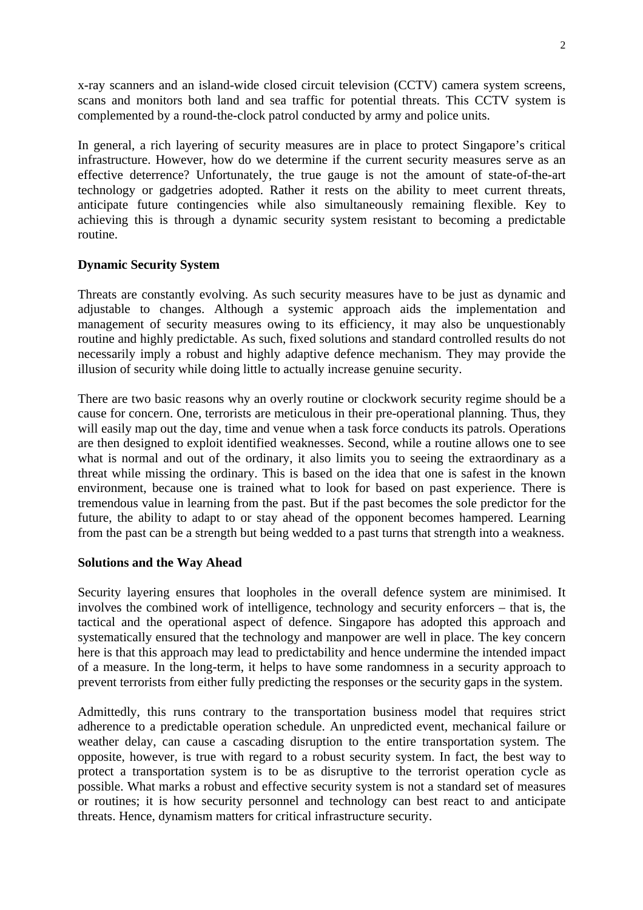x-ray scanners and an island-wide closed circuit television (CCTV) camera system screens, scans and monitors both land and sea traffic for potential threats. This CCTV system is complemented by a round-the-clock patrol conducted by army and police units.

In general, a rich layering of security measures are in place to protect Singapore's critical infrastructure. However, how do we determine if the current security measures serve as an effective deterrence? Unfortunately, the true gauge is not the amount of state-of-the-art technology or gadgetries adopted. Rather it rests on the ability to meet current threats, anticipate future contingencies while also simultaneously remaining flexible. Key to achieving this is through a dynamic security system resistant to becoming a predictable routine.

### **Dynamic Security System**

Threats are constantly evolving. As such security measures have to be just as dynamic and adjustable to changes. Although a systemic approach aids the implementation and management of security measures owing to its efficiency, it may also be unquestionably routine and highly predictable. As such, fixed solutions and standard controlled results do not necessarily imply a robust and highly adaptive defence mechanism. They may provide the illusion of security while doing little to actually increase genuine security.

There are two basic reasons why an overly routine or clockwork security regime should be a cause for concern. One, terrorists are meticulous in their pre-operational planning. Thus, they will easily map out the day, time and venue when a task force conducts its patrols. Operations are then designed to exploit identified weaknesses. Second, while a routine allows one to see what is normal and out of the ordinary, it also limits you to seeing the extraordinary as a threat while missing the ordinary. This is based on the idea that one is safest in the known environment, because one is trained what to look for based on past experience. There is tremendous value in learning from the past. But if the past becomes the sole predictor for the future, the ability to adapt to or stay ahead of the opponent becomes hampered. Learning from the past can be a strength but being wedded to a past turns that strength into a weakness.

#### **Solutions and the Way Ahead**

Security layering ensures that loopholes in the overall defence system are minimised. It involves the combined work of intelligence, technology and security enforcers – that is, the tactical and the operational aspect of defence. Singapore has adopted this approach and systematically ensured that the technology and manpower are well in place. The key concern here is that this approach may lead to predictability and hence undermine the intended impact of a measure. In the long-term, it helps to have some randomness in a security approach to prevent terrorists from either fully predicting the responses or the security gaps in the system.

Admittedly, this runs contrary to the transportation business model that requires strict adherence to a predictable operation schedule. An unpredicted event, mechanical failure or weather delay, can cause a cascading disruption to the entire transportation system. The opposite, however, is true with regard to a robust security system. In fact, the best way to protect a transportation system is to be as disruptive to the terrorist operation cycle as possible. What marks a robust and effective security system is not a standard set of measures or routines; it is how security personnel and technology can best react to and anticipate threats. Hence, dynamism matters for critical infrastructure security.